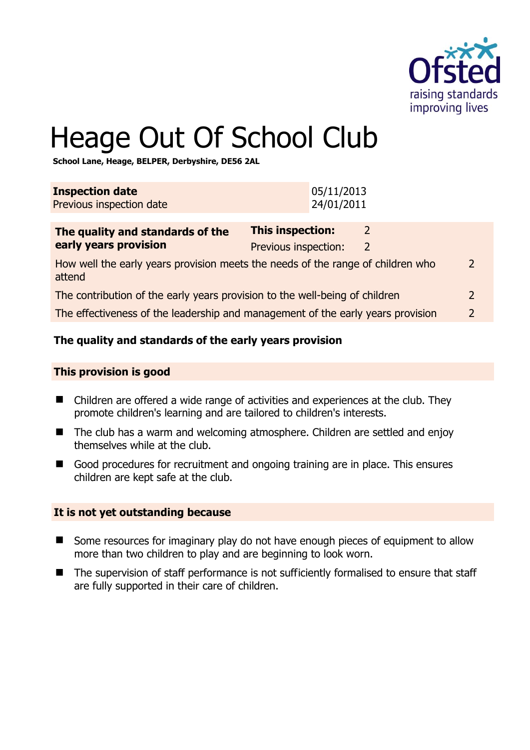

# Heage Out Of School Club

**School Lane, Heage, BELPER, Derbyshire, DE56 2AL** 

| <b>Inspection date</b><br>Previous inspection date                                                         |                                                 | 05/11/2013<br>24/01/2011 |        |               |
|------------------------------------------------------------------------------------------------------------|-------------------------------------------------|--------------------------|--------|---------------|
| The quality and standards of the<br>early years provision                                                  | <b>This inspection:</b><br>Previous inspection: |                          | 2<br>2 |               |
| How well the early years provision meets the needs of the range of children who<br>$\mathcal{L}$<br>attend |                                                 |                          |        |               |
| The contribution of the early years provision to the well-being of children                                |                                                 |                          | 2      |               |
| The effectiveness of the leadership and management of the early years provision                            |                                                 |                          |        | $\mathcal{P}$ |
|                                                                                                            |                                                 |                          |        |               |

# **The quality and standards of the early years provision**

#### **This provision is good**

- Children are offered a wide range of activities and experiences at the club. They promote children's learning and are tailored to children's interests.
- The club has a warm and welcoming atmosphere. Children are settled and enjoy themselves while at the club.
- Good procedures for recruitment and ongoing training are in place. This ensures children are kept safe at the club.

#### **It is not yet outstanding because**

- Some resources for imaginary play do not have enough pieces of equipment to allow more than two children to play and are beginning to look worn.
- The supervision of staff performance is not sufficiently formalised to ensure that staff are fully supported in their care of children.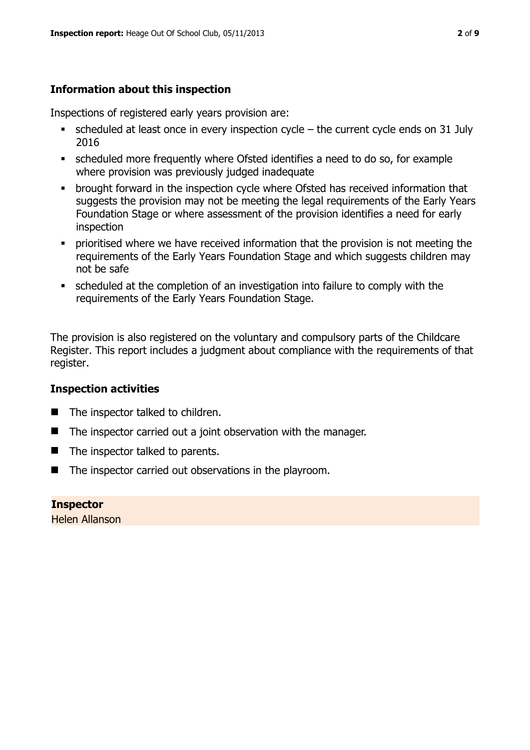# **Information about this inspection**

Inspections of registered early years provision are:

- scheduled at least once in every inspection cycle the current cycle ends on 31 July 2016
- scheduled more frequently where Ofsted identifies a need to do so, for example where provision was previously judged inadequate
- **•** brought forward in the inspection cycle where Ofsted has received information that suggests the provision may not be meeting the legal requirements of the Early Years Foundation Stage or where assessment of the provision identifies a need for early inspection
- **•** prioritised where we have received information that the provision is not meeting the requirements of the Early Years Foundation Stage and which suggests children may not be safe
- scheduled at the completion of an investigation into failure to comply with the requirements of the Early Years Foundation Stage.

The provision is also registered on the voluntary and compulsory parts of the Childcare Register. This report includes a judgment about compliance with the requirements of that register.

# **Inspection activities**

- The inspector talked to children.
- $\blacksquare$  The inspector carried out a joint observation with the manager.
- $\blacksquare$  The inspector talked to parents.
- $\blacksquare$  The inspector carried out observations in the playroom.

**Inspector**  Helen Allanson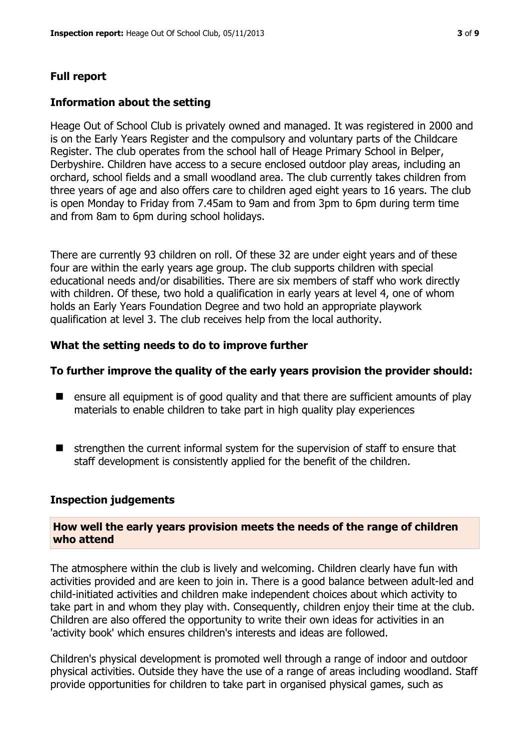# **Full report**

# **Information about the setting**

Heage Out of School Club is privately owned and managed. It was registered in 2000 and is on the Early Years Register and the compulsory and voluntary parts of the Childcare Register. The club operates from the school hall of Heage Primary School in Belper, Derbyshire. Children have access to a secure enclosed outdoor play areas, including an orchard, school fields and a small woodland area. The club currently takes children from three years of age and also offers care to children aged eight years to 16 years. The club is open Monday to Friday from 7.45am to 9am and from 3pm to 6pm during term time and from 8am to 6pm during school holidays.

There are currently 93 children on roll. Of these 32 are under eight years and of these four are within the early years age group. The club supports children with special educational needs and/or disabilities. There are six members of staff who work directly with children. Of these, two hold a qualification in early years at level 4, one of whom holds an Early Years Foundation Degree and two hold an appropriate playwork qualification at level 3. The club receives help from the local authority.

# **What the setting needs to do to improve further**

# **To further improve the quality of the early years provision the provider should:**

- ensure all equipment is of good quality and that there are sufficient amounts of play materials to enable children to take part in high quality play experiences
- $\blacksquare$  strengthen the current informal system for the supervision of staff to ensure that staff development is consistently applied for the benefit of the children.

#### **Inspection judgements**

# **How well the early years provision meets the needs of the range of children who attend**

The atmosphere within the club is lively and welcoming. Children clearly have fun with activities provided and are keen to join in. There is a good balance between adult-led and child-initiated activities and children make independent choices about which activity to take part in and whom they play with. Consequently, children enjoy their time at the club. Children are also offered the opportunity to write their own ideas for activities in an 'activity book' which ensures children's interests and ideas are followed.

Children's physical development is promoted well through a range of indoor and outdoor physical activities. Outside they have the use of a range of areas including woodland. Staff provide opportunities for children to take part in organised physical games, such as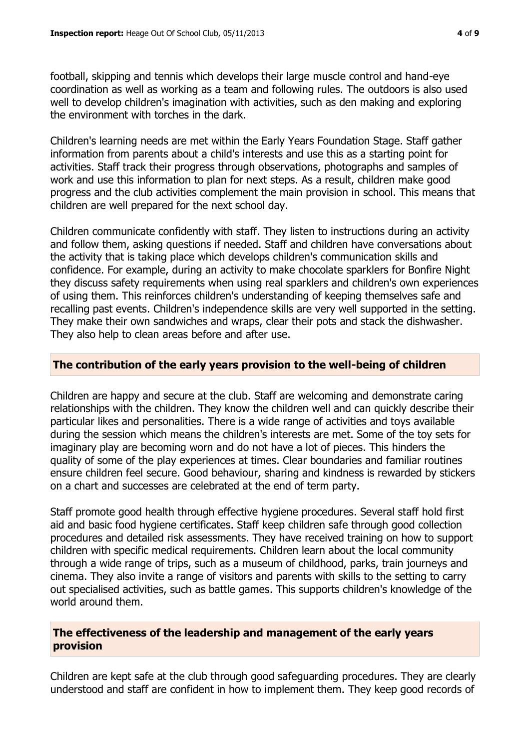football, skipping and tennis which develops their large muscle control and hand-eye coordination as well as working as a team and following rules. The outdoors is also used well to develop children's imagination with activities, such as den making and exploring the environment with torches in the dark.

Children's learning needs are met within the Early Years Foundation Stage. Staff gather information from parents about a child's interests and use this as a starting point for activities. Staff track their progress through observations, photographs and samples of work and use this information to plan for next steps. As a result, children make good progress and the club activities complement the main provision in school. This means that children are well prepared for the next school day.

Children communicate confidently with staff. They listen to instructions during an activity and follow them, asking questions if needed. Staff and children have conversations about the activity that is taking place which develops children's communication skills and confidence. For example, during an activity to make chocolate sparklers for Bonfire Night they discuss safety requirements when using real sparklers and children's own experiences of using them. This reinforces children's understanding of keeping themselves safe and recalling past events. Children's independence skills are very well supported in the setting. They make their own sandwiches and wraps, clear their pots and stack the dishwasher. They also help to clean areas before and after use.

# **The contribution of the early years provision to the well-being of children**

Children are happy and secure at the club. Staff are welcoming and demonstrate caring relationships with the children. They know the children well and can quickly describe their particular likes and personalities. There is a wide range of activities and toys available during the session which means the children's interests are met. Some of the toy sets for imaginary play are becoming worn and do not have a lot of pieces. This hinders the quality of some of the play experiences at times. Clear boundaries and familiar routines ensure children feel secure. Good behaviour, sharing and kindness is rewarded by stickers on a chart and successes are celebrated at the end of term party.

Staff promote good health through effective hygiene procedures. Several staff hold first aid and basic food hygiene certificates. Staff keep children safe through good collection procedures and detailed risk assessments. They have received training on how to support children with specific medical requirements. Children learn about the local community through a wide range of trips, such as a museum of childhood, parks, train journeys and cinema. They also invite a range of visitors and parents with skills to the setting to carry out specialised activities, such as battle games. This supports children's knowledge of the world around them.

# **The effectiveness of the leadership and management of the early years provision**

Children are kept safe at the club through good safeguarding procedures. They are clearly understood and staff are confident in how to implement them. They keep good records of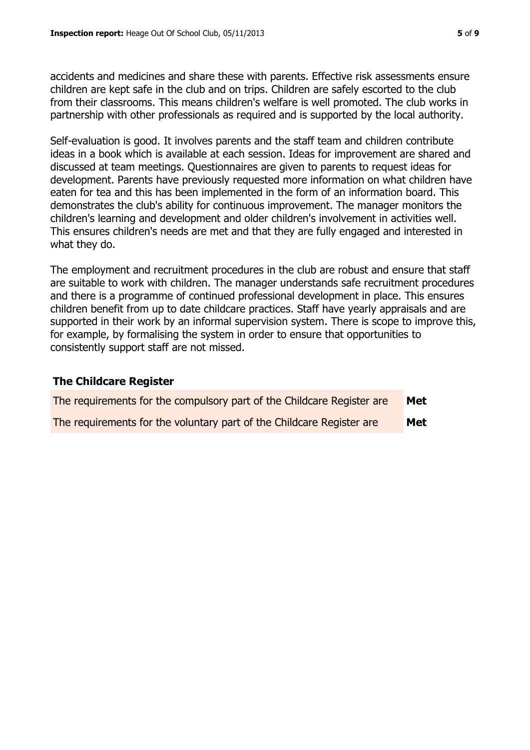accidents and medicines and share these with parents. Effective risk assessments ensure children are kept safe in the club and on trips. Children are safely escorted to the club from their classrooms. This means children's welfare is well promoted. The club works in partnership with other professionals as required and is supported by the local authority.

Self-evaluation is good. It involves parents and the staff team and children contribute ideas in a book which is available at each session. Ideas for improvement are shared and discussed at team meetings. Questionnaires are given to parents to request ideas for development. Parents have previously requested more information on what children have eaten for tea and this has been implemented in the form of an information board. This demonstrates the club's ability for continuous improvement. The manager monitors the children's learning and development and older children's involvement in activities well. This ensures children's needs are met and that they are fully engaged and interested in what they do.

The employment and recruitment procedures in the club are robust and ensure that staff are suitable to work with children. The manager understands safe recruitment procedures and there is a programme of continued professional development in place. This ensures children benefit from up to date childcare practices. Staff have yearly appraisals and are supported in their work by an informal supervision system. There is scope to improve this, for example, by formalising the system in order to ensure that opportunities to consistently support staff are not missed.

# **The Childcare Register**

| The requirements for the compulsory part of the Childcare Register are | <b>Met</b> |
|------------------------------------------------------------------------|------------|
| The requirements for the voluntary part of the Childcare Register are  | Met        |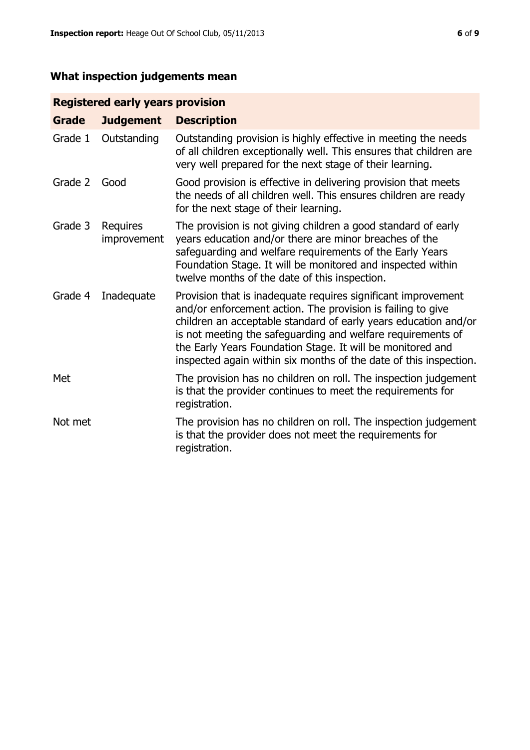# **What inspection judgements mean**

# **Registered early years provision**

| <b>Grade</b> | <b>Judgement</b>        | <b>Description</b>                                                                                                                                                                                                                                                                                                                                                                                |
|--------------|-------------------------|---------------------------------------------------------------------------------------------------------------------------------------------------------------------------------------------------------------------------------------------------------------------------------------------------------------------------------------------------------------------------------------------------|
| Grade 1      | Outstanding             | Outstanding provision is highly effective in meeting the needs<br>of all children exceptionally well. This ensures that children are<br>very well prepared for the next stage of their learning.                                                                                                                                                                                                  |
| Grade 2      | Good                    | Good provision is effective in delivering provision that meets<br>the needs of all children well. This ensures children are ready<br>for the next stage of their learning.                                                                                                                                                                                                                        |
| Grade 3      | Requires<br>improvement | The provision is not giving children a good standard of early<br>years education and/or there are minor breaches of the<br>safeguarding and welfare requirements of the Early Years<br>Foundation Stage. It will be monitored and inspected within<br>twelve months of the date of this inspection.                                                                                               |
| Grade 4      | Inadequate              | Provision that is inadequate requires significant improvement<br>and/or enforcement action. The provision is failing to give<br>children an acceptable standard of early years education and/or<br>is not meeting the safeguarding and welfare requirements of<br>the Early Years Foundation Stage. It will be monitored and<br>inspected again within six months of the date of this inspection. |
| Met          |                         | The provision has no children on roll. The inspection judgement<br>is that the provider continues to meet the requirements for<br>registration.                                                                                                                                                                                                                                                   |
| Not met      |                         | The provision has no children on roll. The inspection judgement<br>is that the provider does not meet the requirements for<br>registration.                                                                                                                                                                                                                                                       |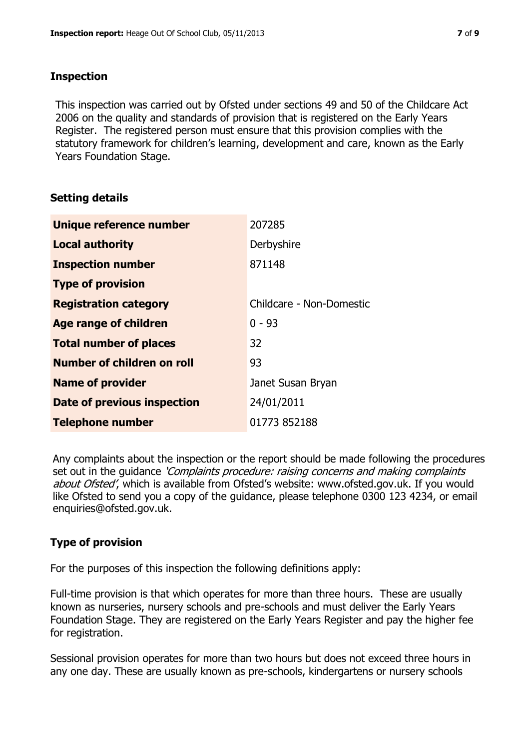# **Inspection**

This inspection was carried out by Ofsted under sections 49 and 50 of the Childcare Act 2006 on the quality and standards of provision that is registered on the Early Years Register. The registered person must ensure that this provision complies with the statutory framework for children's learning, development and care, known as the Early Years Foundation Stage.

# **Setting details**

| Unique reference number       | 207285                   |
|-------------------------------|--------------------------|
| <b>Local authority</b>        | Derbyshire               |
| <b>Inspection number</b>      | 871148                   |
| <b>Type of provision</b>      |                          |
| <b>Registration category</b>  | Childcare - Non-Domestic |
| <b>Age range of children</b>  | $0 - 93$                 |
| <b>Total number of places</b> | 32                       |
| Number of children on roll    | 93                       |
| <b>Name of provider</b>       | Janet Susan Bryan        |
| Date of previous inspection   | 24/01/2011               |
| <b>Telephone number</b>       | 01773 852188             |

Any complaints about the inspection or the report should be made following the procedures set out in the guidance *'Complaints procedure: raising concerns and making complaints* about Ofsted', which is available from Ofsted's website: www.ofsted.gov.uk. If you would like Ofsted to send you a copy of the guidance, please telephone 0300 123 4234, or email enquiries@ofsted.gov.uk.

# **Type of provision**

For the purposes of this inspection the following definitions apply:

Full-time provision is that which operates for more than three hours. These are usually known as nurseries, nursery schools and pre-schools and must deliver the Early Years Foundation Stage. They are registered on the Early Years Register and pay the higher fee for registration.

Sessional provision operates for more than two hours but does not exceed three hours in any one day. These are usually known as pre-schools, kindergartens or nursery schools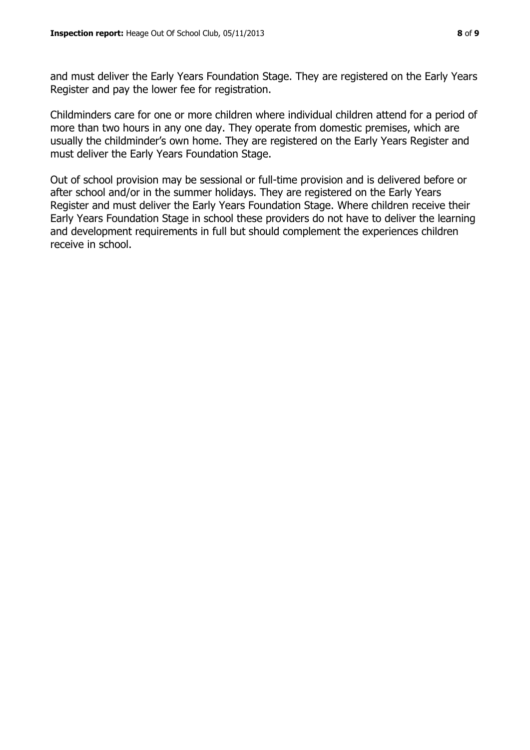and must deliver the Early Years Foundation Stage. They are registered on the Early Years Register and pay the lower fee for registration.

Childminders care for one or more children where individual children attend for a period of more than two hours in any one day. They operate from domestic premises, which are usually the childminder's own home. They are registered on the Early Years Register and must deliver the Early Years Foundation Stage.

Out of school provision may be sessional or full-time provision and is delivered before or after school and/or in the summer holidays. They are registered on the Early Years Register and must deliver the Early Years Foundation Stage. Where children receive their Early Years Foundation Stage in school these providers do not have to deliver the learning and development requirements in full but should complement the experiences children receive in school.